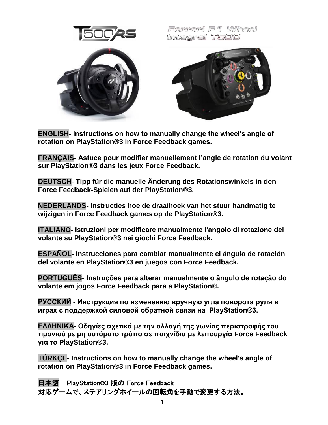

Ferrari F1 Wheel Integral T500



**ENGLISH- [Instructions on how to manually change the wheel's angle of](#page-1-0)  [rotation on PlayStation®3 in Force Feedback games.](#page-1-0)**

**FRANÇAIS- [Astuce pour modifier manuellement l'angle de rotation du volant](#page-2-0)  [sur PlayStation®3 dans les jeux Force Feedback.](#page-2-0)**

**DEUTSCH- [Tipp für die manuelle Änderung des Rotationswinkels in den](#page-3-0)  [Force Feedback-Spielen auf der PlayStation®3.](#page-3-0)**

**NEDERLANDS- [Instructies hoe de draaihoek van het stuur handmatig te](#page-4-0)  [wijzigen in Force Feedback games op de PlayStation®3.](#page-4-0)**

**ITALIANO- [Istruzioni per modificare manualmente l'angolo di rotazione del](#page-5-0)  [volante su PlayStation®3 nei giochi Force Feedback.](#page-5-0)**

**ESPAÑOL- [Instrucciones para cambiar manualmente el ángulo de rotación](#page-6-0)  [del volante en PlayStation®3 en juegos con Force Feedback.](#page-6-0)**

**PORTUGUÊS- [Instruções para alterar manualmente o ângulo de rotação do](#page-7-0)  [volante em jogos Force Feedback para a PlayStation®.](#page-7-0)**

**РУССКИЙ - [Инструкция по изменению вручную угла поворота руля в](#page-8-0)  [играх с поддержкой силовой обратной связи на PlayStation®3.](#page-8-0)**

ΕΛΛΗΝΙΚΑ- Οδηγίες σχετικά με την αλλαγή της γωνίας περιστροφής του **[ηιμονιού με μη αςηόμαηο ηπόπο ζε παισνίδια με λειηοςπγία Force](#page-9-0) Feedback [για ηο PlayStation®3.](#page-9-0)**

**TÜRKÇE- [Instructions on how to manually change the wheel's angle of](#page-10-0) [rotation on PlayStation®3 in Force Feedback games.](#page-10-0)**

日本語 - [PlayStation®3 版の](#page-11-0) Force Feedback [対応ゲームで、ステアリングホイールの回転角を手動で変更する方法。](#page-11-0)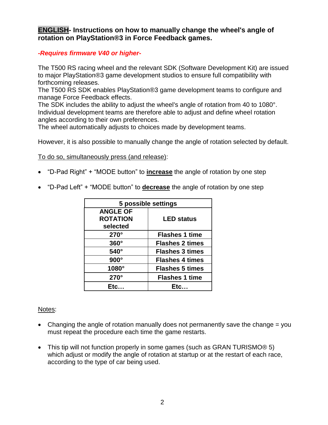# <span id="page-1-0"></span>**ENGLISH- Instructions on how to manually change the wheel's angle of rotation on PlayStation®3 in Force Feedback games.**

# *-Requires firmware V40 or higher-*

The T500 RS racing wheel and the relevant SDK (Software Development Kit) are issued to major PlayStation®3 game development studios to ensure full compatibility with forthcoming releases.

The T500 RS SDK enables PlayStation®3 game development teams to configure and manage Force Feedback effects.

The SDK includes the ability to adjust the wheel's angle of rotation from 40 to 1080°. Individual development teams are therefore able to adjust and define wheel rotation angles according to their own preferences.

The wheel automatically adjusts to choices made by development teams.

However, it is also possible to manually change the angle of rotation selected by default.

To do so, simultaneously press (and release):

- "D-Pad Right" + "MODE button" to **increase** the angle of rotation by one step
- "D-Pad Left" + "MODE button" to **decrease** the angle of rotation by one step

| 5 possible settings |                        |
|---------------------|------------------------|
| <b>ANGLE OF</b>     |                        |
| <b>ROTATION</b>     | <b>LED status</b>      |
| selected            |                        |
| $270^\circ$         | <b>Flashes 1 time</b>  |
| $360^\circ$         | <b>Flashes 2 times</b> |
| $540^\circ$         | <b>Flashes 3 times</b> |
| $900^\circ$         | <b>Flashes 4 times</b> |
| 1080°               | <b>Flashes 5 times</b> |
| $270^\circ$         | <b>Flashes 1 time</b>  |
| Ftc                 | Ftc                    |

#### Notes:

- Changing the angle of rotation manually does not permanently save the change  $=$  you must repeat the procedure each time the game restarts.
- This tip will not function properly in some games (such as GRAN TURISMO<sup>®</sup> 5) which adjust or modify the angle of rotation at startup or at the restart of each race, according to the type of car being used.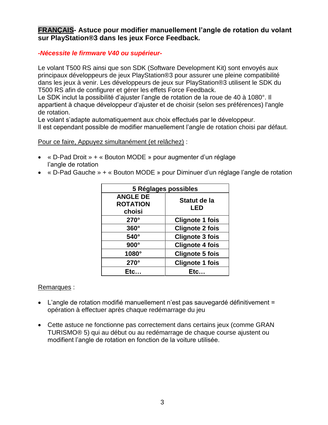# <span id="page-2-0"></span>**FRANÇAIS- Astuce pour modifier manuellement l'angle de rotation du volant sur PlayStation®3 dans les jeux Force Feedback.**

#### *-Nécessite le firmware V40 ou supérieur-*

Le volant T500 RS ainsi que son SDK (Software Development Kit) sont envoyés aux principaux développeurs de jeux PlayStation®3 pour assurer une pleine compatibilité dans les jeux à venir. Les développeurs de jeux sur PlayStation®3 utilisent le SDK du T500 RS afin de configurer et gérer les effets Force Feedback.

Le SDK inclut la possibilité d'ajuster l'angle de rotation de la roue de 40 à 1080°. Il appartient à chaque développeur d'ajuster et de choisir (selon ses préférences) l'angle de rotation.

Le volant s'adapte automatiquement aux choix effectués par le développeur. Il est cependant possible de modifier manuellement l'angle de rotation choisi par défaut.

Pour ce faire, Appuyez simultanément (et relâchez) :

- « D-Pad Droit » + « Bouton MODE » pour augmenter d'un réglage l'angle de rotation
- « D-Pad Gauche » + « Bouton MODE » pour Diminuer d'un réglage l'angle de rotation

| 5 Réglages possibles                         |                        |
|----------------------------------------------|------------------------|
| <b>ANGLE DE</b><br><b>ROTATION</b><br>choisi | Statut de la<br>LED    |
| $270^\circ$                                  | <b>Clignote 1 fois</b> |
| $360^\circ$                                  | <b>Clignote 2 fois</b> |
| $540^\circ$                                  | <b>Clignote 3 fois</b> |
| $900^\circ$                                  | <b>Clignote 4 fois</b> |
| 1080°                                        | <b>Clignote 5 fois</b> |
| $270^\circ$                                  | <b>Clignote 1 fois</b> |
| <b>Etc</b>                                   | Etc                    |

#### Remarques :

- L'angle de rotation modifié manuellement n'est pas sauvegardé définitivement = opération à effectuer après chaque redémarrage du jeu
- Cette astuce ne fonctionne pas correctement dans certains jeux (comme GRAN TURISMO® 5) qui au début ou au redémarrage de chaque course ajustent ou modifient l'angle de rotation en fonction de la voiture utilisée.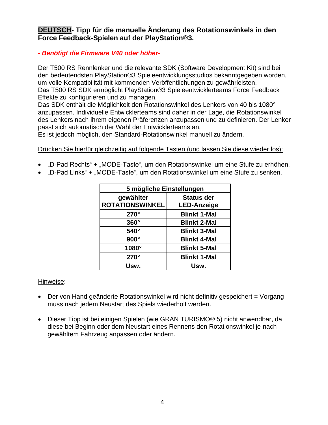# <span id="page-3-0"></span>**DEUTSCH- Tipp für die manuelle Änderung des Rotationswinkels in den Force Feedback-Spielen auf der PlayStation®3.**

# *- Benötigt die Firmware V40 oder höher-*

Der T500 RS Rennlenker und die relevante SDK (Software Development Kit) sind bei den bedeutendsten PlayStation®3 Spieleentwicklungsstudios bekanntgegeben worden, um volle Kompatibilität mit kommenden Veröffentlichungen zu gewährleisten. Das T500 RS SDK ermöglicht PlayStation®3 Spieleentwicklerteams Force Feedback Effekte zu konfigurieren und zu managen.

Das SDK enthält die Möglichkeit den Rotationswinkel des Lenkers von 40 bis 1080° anzupassen. Individuelle Entwicklerteams sind daher in der Lage, die Rotationswinkel des Lenkers nach ihrem eigenen Präferenzen anzupassen und zu definieren. Der Lenker passt sich automatisch der Wahl der Entwicklerteams an.

Es ist jedoch möglich, den Standard-Rotationswinkel manuell zu ändern.

Drücken Sie hierfür gleichzeitig auf folgende Tasten (und lassen Sie diese wieder los):

- "D-Pad Rechts" + "MODE-Taste", um den Rotationswinkel um eine Stufe zu erhöhen.
- "D-Pad Links" + "MODE-Taste", um den Rotationswinkel um eine Stufe zu senken.

| 5 mögliche Einstellungen |                     |
|--------------------------|---------------------|
| gewählter                | <b>Status der</b>   |
| <b>ROTATIONSWINKEL</b>   | <b>LED-Anzeige</b>  |
| $270^\circ$              | <b>Blinkt 1-Mal</b> |
| $360^\circ$              | <b>Blinkt 2-Mal</b> |
| 540°                     | <b>Blinkt 3-Mal</b> |
| $900^\circ$              | <b>Blinkt 4-Mal</b> |
| 1080°                    | <b>Blinkt 5-Mal</b> |
| $270^\circ$              | <b>Blinkt 1-Mal</b> |
| Usw.                     | Usw.                |

# Hinweise:

- Der von Hand geänderte Rotationswinkel wird nicht definitiv gespeichert = Vorgang muss nach jedem Neustart des Spiels wiederholt werden.
- Dieser Tipp ist bei einigen Spielen (wie GRAN TURISMO® 5) nicht anwendbar, da diese bei Beginn oder dem Neustart eines Rennens den Rotationswinkel je nach gewähltem Fahrzeug anpassen oder ändern.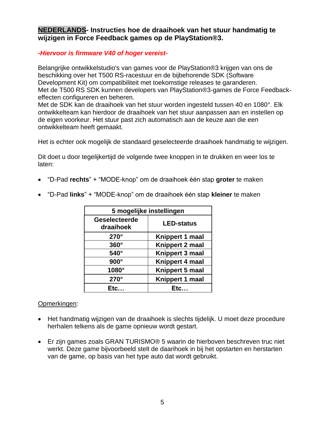<span id="page-4-0"></span>**NEDERLANDS- Instructies hoe de draaihoek van het stuur handmatig te wijzigen in Force Feedback games op de PlayStation®3.**

#### *-Hiervoor is firmware V40 of hoger vereist-*

Belangrijke ontwikkelstudio's van games voor de PlayStation®3 krijgen van ons de beschikking over het T500 RS-racestuur en de bijbehorende SDK (Software Development Kit) om compatibiliteit met toekomstige releases te garanderen. Met de T500 RS SDK kunnen developers van PlayStation®3-games de Force Feedbackeffecten configureren en beheren.

Met de SDK kan de draaihoek van het stuur worden ingesteld tussen 40 en 1080°. Elk ontwikkelteam kan hierdoor de draaihoek van het stuur aanpassen aan en insteIlen op de eigen voorkeur. Het stuur past zich automatisch aan de keuze aan die een ontwikkelteam heeft gemaakt.

Het is echter ook mogelijk de standaard geselecteerde draaihoek handmatig te wijzigen.

Dit doet u door tegelijkertijd de volgende twee knoppen in te drukken en weer los te laten:

"D-Pad **rechts**" + "MODE-knop" om de draaihoek één stap **groter** te maken

| 5 mogelijke instellingen   |                   |
|----------------------------|-------------------|
| Geselecteerde<br>draaihoek | <b>LED-status</b> |
| $270^\circ$                | Knippert 1 maal   |
| $360^\circ$                | Knippert 2 maal   |
| 540°                       | Knippert 3 maal   |
| $900^\circ$                | Knippert 4 maal   |
| 1080°                      | Knippert 5 maal   |
| $270^\circ$                | Knippert 1 maal   |
| Etc                        | Etc…              |

"D-Pad **links**" + "MODE-knop" om de draaihoek één stap **kleiner** te maken

# Opmerkingen:

- Het handmatig wijzigen van de draaihoek is slechts tijdelijk. U moet deze procedure herhalen telkens als de game opnieuw wordt gestart.
- Er zijn games zoals GRAN TURISMO® 5 waarin de hierboven beschreven truc niet werkt. Deze game bijvoorbeeld stelt de daarihoek in bij het opstarten en herstarten van de game, op basis van het type auto dat wordt gebruikt.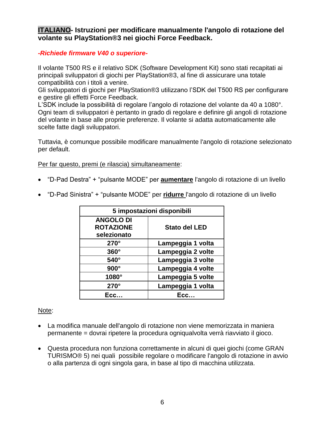# <span id="page-5-0"></span>**ITALIANO- Istruzioni per modificare manualmente l'angolo di rotazione del volante su PlayStation®3 nei giochi Force Feedback.**

# *-Richiede firmware V40 o superiore-*

Il volante T500 RS e il relativo SDK (Software Development Kit) sono stati recapitati ai principali sviluppatori di giochi per PlayStation®3, al fine di assicurare una totale compatibilità con i titoli a venire.

Gli sviluppatori di giochi per PlayStation®3 utilizzano l'SDK del T500 RS per configurare e gestire gli effetti Force Feedback.

L'SDK include la possibilità di regolare l'angolo di rotazione del volante da 40 a 1080°. Ogni team di sviluppatori è pertanto in grado di regolare e definire gli angoli di rotazione del volante in base alle proprie preferenze. Il volante si adatta automaticamente alle scelte fatte dagli sviluppatori.

Tuttavia, è comunque possibile modificare manualmente l'angolo di rotazione selezionato per default.

Per far questo, premi (e rilascia) simultaneamente:

"D-Pad Destra" + "pulsante MODE" per **aumentare** l'angolo di rotazione di un livello

| 5 impostazioni disponibili                          |                      |
|-----------------------------------------------------|----------------------|
| <b>ANGOLO DI</b><br><b>ROTAZIONE</b><br>selezionato | <b>Stato del LED</b> |
| $270^\circ$                                         | Lampeggia 1 volta    |
| $360^\circ$                                         | Lampeggia 2 volte    |
| $540^\circ$                                         | Lampeggia 3 volte    |
| $900^\circ$                                         | Lampeggia 4 volte    |
| 1080°                                               | Lampeggia 5 volte    |
| $270^\circ$                                         | Lampeggia 1 volta    |
| Ecc.                                                | Ecc                  |

"D-Pad Sinistra" + "pulsante MODE" per **ridurre** l'angolo di rotazione di un livello

#### Note:

- La modifica manuale dell'angolo di rotazione non viene memorizzata in maniera permanente = dovrai ripetere la procedura ogniqualvolta verrà riavviato il gioco.
- Questa procedura non funziona correttamente in alcuni di quei giochi (come GRAN TURISMO® 5) nei quali possibile regolare o modificare l'angolo di rotazione in avvio o alla partenza di ogni singola gara, in base al tipo di macchina utilizzata.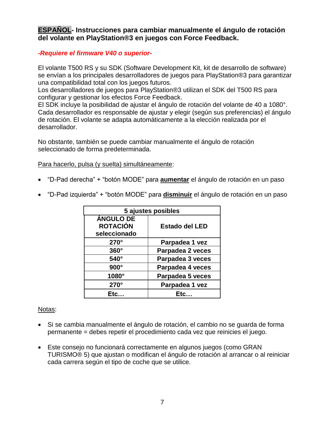<span id="page-6-0"></span>**ESPAÑOL- Instrucciones para cambiar manualmente el ángulo de rotación del volante en PlayStation®3 en juegos con Force Feedback.**

## *-Requiere el firmware V40 o superior-*

El volante T500 RS y su SDK (Software Development Kit, kit de desarrollo de software) se envían a los principales desarrolladores de juegos para PlayStation®3 para garantizar una compatibilidad total con los juegos futuros.

Los desarrolladores de juegos para PlayStation®3 utilizan el SDK del T500 RS para configurar y gestionar los efectos Force Feedback.

El SDK incluye la posibilidad de ajustar el ángulo de rotación del volante de 40 a 1080°. Cada desarrollador es responsable de ajustar y elegir (según sus preferencias) el ángulo de rotación. El volante se adapta automáticamente a la elección realizada por el desarrollador.

No obstante, también se puede cambiar manualmente el ángulo de rotación seleccionado de forma predeterminada.

Para hacerlo, pulsa (y suelta) simultáneamente:

- "D-Pad derecha" + "botón MODE" para **aumentar** el ángulo de rotación en un paso
- "D-Pad izquierda" + "botón MODE" para **disminuir** el ángulo de rotación en un paso

| 5 ajustes posibles |                       |
|--------------------|-----------------------|
| <b>ÁNGULO DE</b>   |                       |
| <b>ROTACIÓN</b>    | <b>Estado del LED</b> |
| seleccionado       |                       |
| $270^\circ$        | Parpadea 1 vez        |
| $360^\circ$        | Parpadea 2 veces      |
| 540°               | Parpadea 3 veces      |
| $900^\circ$        | Parpadea 4 veces      |
| 1080°              | Parpadea 5 veces      |
| $270^\circ$        | Parpadea 1 vez        |
|                    | Etc.                  |

#### Notas:

- Si se cambia manualmente el ángulo de rotación, el cambio no se guarda de forma permanente = debes repetir el procedimiento cada vez que reinicies el juego.
- Este consejo no funcionará correctamente en algunos juegos (como GRAN TURISMO® 5) que ajustan o modifican el ángulo de rotación al arrancar o al reiniciar cada carrera según el tipo de coche que se utilice.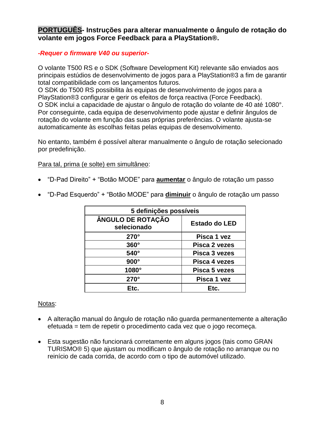<span id="page-7-0"></span>**PORTUGUÊS- Instruções para alterar manualmente o ângulo de rotação do volante em jogos Force Feedback para a PlayStation®.**

## *-Requer o firmware V40 ou superior-*

O volante T500 RS e o SDK (Software Development Kit) relevante são enviados aos principais estúdios de desenvolvimento de jogos para a PlayStation®3 a fim de garantir total compatibilidade com os lançamentos futuros.

O SDK do T500 RS possibilita às equipas de desenvolvimento de jogos para a PlayStation®3 configurar e gerir os efeitos de força reactiva (Force Feedback). O SDK inclui a capacidade de ajustar o ângulo de rotação do volante de 40 até 1080°. Por conseguinte, cada equipa de desenvolvimento pode ajustar e definir ângulos de rotação do volante em função das suas próprias preferências. O volante ajusta-se automaticamente às escolhas feitas pelas equipas de desenvolvimento.

No entanto, também é possível alterar manualmente o ângulo de rotação selecionado por predefinição.

Para tal, prima (e solte) em simultâneo:

"D-Pad Direito" + "Botão MODE" para **aumentar** o ângulo de rotação um passo

| 5 definições possíveis           |                      |
|----------------------------------|----------------------|
| ÂNGULO DE ROTAÇÃO<br>selecionado | <b>Estado do LED</b> |
| $270^\circ$                      | Pisca 1 yez          |
| $360^\circ$                      | Pisca 2 vezes        |
| $540^\circ$                      | Pisca 3 yezes        |
| $900^\circ$                      | Pisca 4 yezes        |
| 1080°                            | Pisca 5 vezes        |
| $270^\circ$                      | Pisca 1 vez          |
| Etc.                             | Etc.                 |

"D-Pad Esquerdo" + "Botão MODE" para **diminuir** o ângulo de rotação um passo

#### Notas:

- A alteração manual do ângulo de rotação não guarda permanentemente a alteração efetuada = tem de repetir o procedimento cada vez que o jogo recomeça.
- Esta sugestão não funcionará corretamente em alguns jogos (tais como GRAN TURISMO® 5) que ajustam ou modificam o ângulo de rotação no arranque ou no reinício de cada corrida, de acordo com o tipo de automóvel utilizado.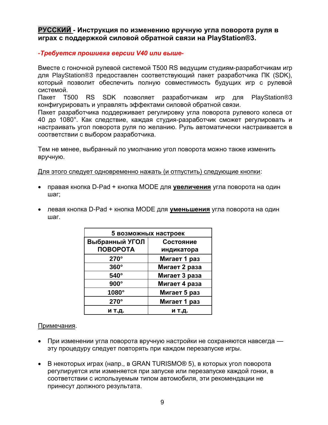# <span id="page-8-0"></span>**РУССКИЙ - Инструкция по изменению вручную угла поворота руля в играх с поддержкой силовой обратной связи на PlayStation®3.**

### *-Требуется прошивка версии V40 или выше-*

Вместе с гоночной рулевой системой T500 RS ведущим студиям-разработчикам игр для PlayStation®3 предоставлен соответствующий пакет разработчика ПК (SDK), который позволит обеспечить полную совместимость будущих игр с рулевой системой.

Пакет T500 RS SDK позволяет разработчикам игр для PlayStation®3 конфигурировать и управлять эффектами силовой обратной связи.

Пакет разработчика поддерживает регулировку угла поворота рулевого колеса от 40 до 1080°. Как следствие, каждая студия-разработчик сможет регулировать и настраивать угол поворота руля по желанию. Руль автоматически настраивается в соответствии с выбором разработчика.

Тем не менее, выбранный по умолчанию угол поворота можно также изменить вручную.

Для этого следует одновременно нажать (и отпустить) следующие кнопки:

- правая кнопка D-Pad + кнопка MODE для **увеличения** угла поворота на один шаг;
- левая кнопка D-Pad + кнопка MODE для **уменьшения** угла поворота на один шаг.

| 5 возможных настроек              |               |
|-----------------------------------|---------------|
| Выбранный УГОЛ<br><b>ПОВОРОТА</b> | Состояние     |
|                                   | индикатора    |
| 270°                              | Мигает 1 раз  |
| $360^\circ$                       | Мигает 2 раза |
| 540°                              | Мигает 3 раза |
| $900^\circ$                       | Мигает 4 раза |
| 1080°                             | Мигает 5 раз  |
| 270°                              | Мигает 1 раз  |
| и т.д.                            | и т.д.        |

#### Примечания.

- При изменении угла поворота вручную настройки не сохраняются навсегда эту процедуру следует повторять при каждом перезапуске игры.
- В некоторых играх (напр., в GRAN TURISMO® 5), в которых угол поворота регулируется или изменяется при запуске или перезапуске каждой гонки, в соответствии с используемым типом автомобиля, эти рекомендации не принесут должного результата.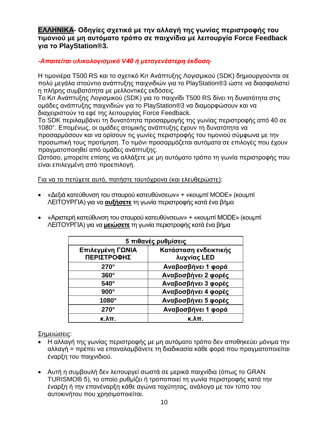<span id="page-9-0"></span>ΕΛΛΗΝΙΚΑ- Οδηγίες σχετικά με την αλλαγή της γωνίας περιστροφής του **ηιμονιού με μη αςηόμαηο ηπόπο ζε παισνίδια με λειηοςπγία Force Feedback για ηο PlayStation®3.**

# -Απαιτείται υλικολογισμικό V40 ή μεταγενέστερη έκδοση-

Η τιμονιέρα T500 RS και το σχετικό Κιτ Ανάπτυξης Λογισμικού (SDK) δημιουργούνται σε πολύ μεγάλα στούντιο ανάπτυξης παιχνιδιών για το PlayStation®3 ώστε να διασφαλιστεί η πλήρης συμβατότητα με μελλοντικές εκδόσεις.

Το Κιτ Ανάπτυξης Λογισμικού (SDK) για το παιχνίδι T500 RS δίνει τη δυνατότητα στις ομάδες ανάπτυξης παιχνιδιών για το PlayStation®3 να διαμορφώσουν και να διαχειριστούν τα εφέ της λειτουργίας Force Feedback.

Το SDK περιλαμβάνει τη δυνατότητα προσαρμογής της γωνίας περιστροφής από 40 σε 1080°. Επομένως, οι ομάδες ατομικής ανάπτυξης έχουν τη δυνατότητα να προσαρμόσουν και να ορίσουν τις γωνίες περιστροφής του τιμονιού σύμφωνα με την προσωπική τους προτίμηση. Το τιμόνι προσαρμόζεται αυτόματα σε επιλογές που έχουν πραγματοποιηθεί από ομάδες ανάπτυξης.

Ωστόσο, μπορείτε επίσης να αλλάξετε με μη αυτόματο τρόπο τη γωνία περιστροφής που είναι επιλεγμένη από προεπιλογή.

Για να το πετύχετε αυτό, πατήστε ταυτόχρονα (και ελευθερώστε):

- «Δεξιά κατεύθυνση του σταυρού κατευθύνσεων» + «κουμπί MODE» (κουμπί ΛΕΙΤΟΥΡΓΙΑ) για να **αυξήσετε** τη γωνία περιστροφής κατά ένα βήμα
- «Αριστερή κατεύθυνση του σταυρού κατευθύνσεων» + «κουμπί MODE» (κουμπί ΛΕΙΤΟΥΡΓΙΑ) για να **μειώσετε** τη γωνία περιστροφής κατά ένα βήμα

| 5 πιθανές ρυθμίσεις                    |                                      |
|----------------------------------------|--------------------------------------|
| Επιλεγμένη ΓΩΝΙΑ<br><b>ΠΕΡΙΣΤΡΟΦΗΣ</b> | Κατάσταση ενδεικτικής<br>λυχνίας LED |
| $270^\circ$                            | Αναβοσβήνει 1 φορά                   |
| $360^\circ$                            | Αναβοσβήνει 2 φορές                  |
| $540^\circ$                            | Αναβοσβήνει 3 φορές                  |
| $900^\circ$                            | Αναβοσβήνει 4 φορές                  |
| 1080°                                  | Αναβοσβήνει 5 φορές                  |
| $270^\circ$                            | Αναβοσβήνει 1 φορά                   |
| к.λπ.                                  | κ.λπ.                                |

# Σημειώσεις:

- Η αλλαγή της γωνίας περιστροφής με μη αυτόματο τρόπο δεν αποθηκεύει μόνιμα την αλλαγή = πρέπει να επαναλαμβάνετε τη διαδικασία κάθε φορά που πραγματοποιείται έναρξη του παιχνιδιού.
- Αυτή η συμβουλή δεν λειτουργεί σωστά σε μερικά παιχνίδια (όπως το GRAN TURISMO® 5), το οποίο ρυθμίζει ή τροποποιεί τη γωνία περιστροφής κατά την έναρξη ή την επανέναρξη κάθε αγώνα ταχύτητας, ανάλογα με τον τύπο του αυτοκινήτου που χρησιμοποιείται.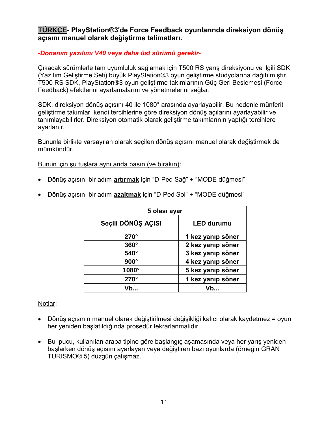# <span id="page-10-0"></span>**TÜRKÇE- PlayStation®3'de Force Feedback oyunlarında direksiyon dönüş açısını manuel olarak değiştirme talimatları.**

# *-Donanım yazılımı V40 veya daha üst sürümü gerekir-*

Çıkacak sürümlerle tam uyumluluk sağlamak için T500 RS yarış direksiyonu ve ilgili SDK (Yazılım Geliştirme Seti) büyük PlayStation®3 oyun geliştirme stüdyolarına dağıtılmıştır. T500 RS SDK, PlayStation®3 oyun geliştirme takımlarının Güç Geri Beslemesi (Force Feedback) efektlerini ayarlamalarını ve yönetmelerini sağlar.

SDK, direksiyon dönüş açısını 40 ile 1080° arasında ayarlayabilir. Bu nedenle münferit geliştirme takımları kendi tercihlerine göre direksiyon dönüş açılarını ayarlayabilir ve tanımlayabilirler. Direksiyon otomatik olarak geliştirme takımlarının yaptığı tercihlere ayarlanır.

Bununla birlikte varsayılan olarak seçilen dönüş açısını manuel olarak değiştirmek de mümkündür.

Bunun için şu tuşlara aynı anda basın (ve bırakın):

Dönüş açısını bir adım **artırmak** için "D-Ped Sağ" + "MODE düğmesi"

| 5 olası ayar       |                   |
|--------------------|-------------------|
| Seçili DÖNÜŞ AÇISI | <b>LED durumu</b> |
| $270^\circ$        | 1 kez yanıp söner |
| $360^\circ$        | 2 kez yanıp söner |
| $540^\circ$        | 3 kez yanıp söner |
| $900^\circ$        | 4 kez yanıp söner |
| 1080°              | 5 kez yanıp söner |
| $270^\circ$        | 1 kez yanıp söner |
|                    | Vh…               |

Dönüş açısını bir adım **azaltmak** için "D-Ped Sol" + "MODE düğmesi"

# Notlar:

- Dönüş açısının manuel olarak değiştirilmesi değişikliği kalıcı olarak kaydetmez = oyun her yeniden başlatıldığında prosedür tekrarlanmalıdır.
- Bu ipucu, kullanılan araba tipine göre başlangıç aşamasında veya her yarış yeniden başlarken dönüş açısını ayarlayan veya değiştiren bazı oyunlarda (örneğin GRAN TURISMO® 5) düzgün çalışmaz.